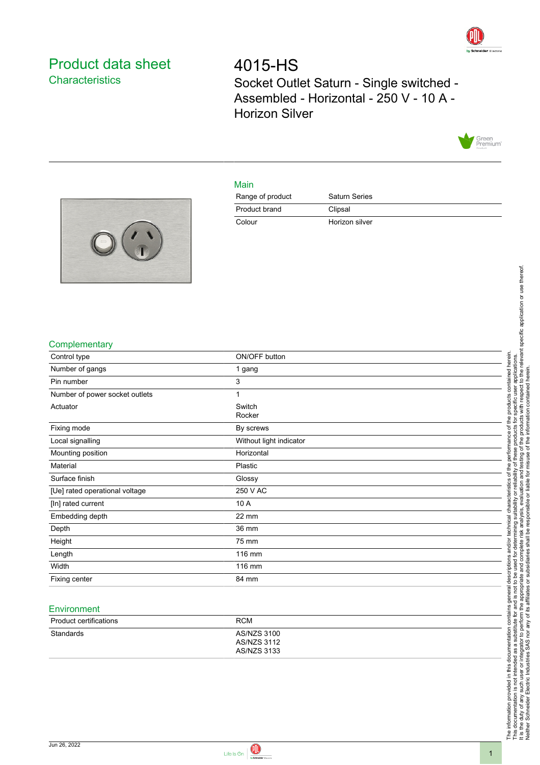

# <span id="page-0-0"></span>Product data sheet **Characteristics**

4015-HS Socket Outlet Saturn - Single switched - Assembled - Horizontal - 250 V - 10 A - Horizon Silver



#### Main

| Range of product | Saturn Series  |
|------------------|----------------|
| Product brand    | Clipsal        |
| Colour           | Horizon silver |



#### **Complementary**

| Control type                   | ON/OFF button           |
|--------------------------------|-------------------------|
| Number of gangs                | 1 gang                  |
| Pin number                     | 3                       |
| Number of power socket outlets | 1                       |
| Actuator                       | Switch<br>Rocker        |
| Fixing mode                    | By screws               |
| Local signalling               | Without light indicator |
| Mounting position              | Horizontal              |
| Material                       | Plastic                 |
| Surface finish                 | Glossy                  |
| [Ue] rated operational voltage | 250 V AC                |
| [In] rated current             | 10 A                    |
| Embedding depth                | 22 mm                   |
| Depth                          | 36 mm                   |
| Height                         | 75 mm                   |
| Length                         | 116 mm                  |
| Width                          | 116 mm                  |
| Fixing center                  | 84 mm                   |

#### **Environment**

| <b>Product certifications</b> | <b>RCM</b>                                |
|-------------------------------|-------------------------------------------|
| Standards                     | AS/NZS 3100<br>AS/NZS 3112<br>AS/NZS 3133 |